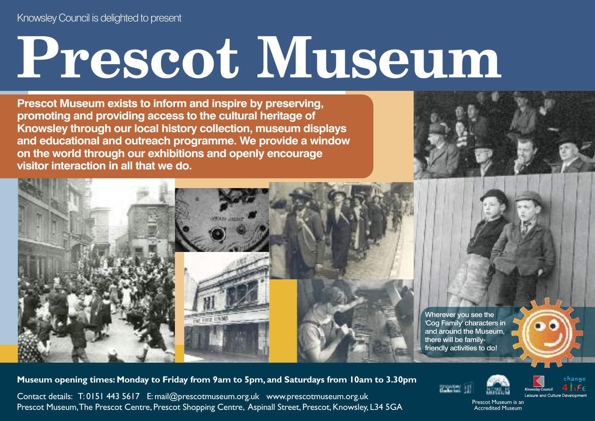## **Prescot Museum**

**Prescot Museum exists to inform and inspire by preserving, promoting and providing access to the cultural heritage of Knowsley through our local history collection, museum displays and educational and outreach programme. We provide a window on the world through our exhibitions and openly encourage visitor interaction in all that we do.**





Wherever you see the 'Cog Family' characters in and around the Museum, there will be familyfriendly activities to do!

**Museum opening times: Monday to Friday from 9am to 5pm, and Saturdays from 10am to 3.30pm**

Contact details: T: 0151 443 5617 E: mail@prescotmuseum.org.uk www.prescotmuseum.org.uk Prescot Museum, The Prescot Centre, Prescot Shopping Centre, Aspinall Street, Prescot, Knowsley, L34 5GA







Prescot Museum is an Accredited Museum